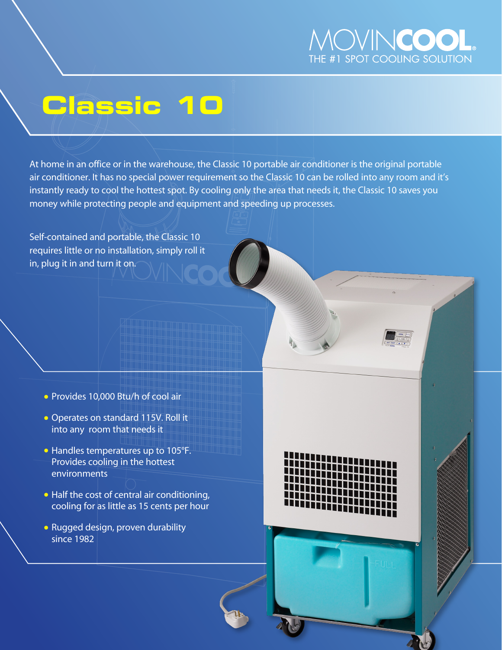

# **Classic 10**

At home in an office or in the warehouse, the Classic 10 portable air conditioner is the original portable air conditioner. It has no special power requirement so the Classic 10 can be rolled into any room and it's instantly ready to cool the hottest spot. By cooling only the area that needs it, the Classic 10 saves you money while protecting people and equipment and speeding up processes.

Self-contained and portable, the Classic 10 requires little or no installation, simply roll it in, plug it in and turn it on.

- Provides 10,000 Btu/h of cool air
- Operates on standard 115V. Roll it into any room that needs it
- Handles temperatures up to 105°F. Provides cooling in the hottest environments
- Half the cost of central air conditioning, cooling for as little as 15 cents per hour
- Rugged design, proven durability since 1982